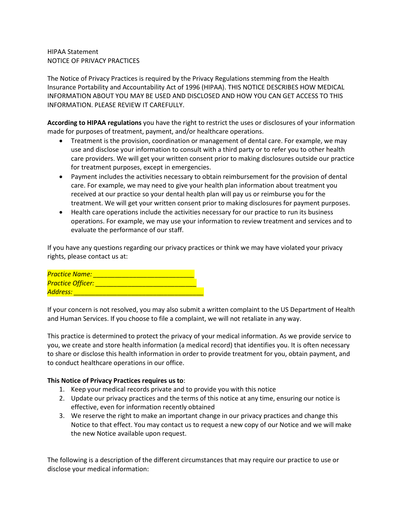## HIPAA Statement NOTICE OF PRIVACY PRACTICES

The Notice of Privacy Practices is required by the Privacy Regulations stemming from the Health Insurance Portability and Accountability Act of 1996 (HIPAA). THIS NOTICE DESCRIBES HOW MEDICAL INFORMATION ABOUT YOU MAY BE USED AND DISCLOSED AND HOW YOU CAN GET ACCESS TO THIS INFORMATION. PLEASE REVIEW IT CAREFULLY.

**According to HIPAA regulations** you have the right to restrict the uses or disclosures of your information made for purposes of treatment, payment, and/or healthcare operations.

- Treatment is the provision, coordination or management of dental care. For example, we may use and disclose your information to consult with a third party or to refer you to other health care providers. We will get your written consent prior to making disclosures outside our practice for treatment purposes, except in emergencies.
- Payment includes the activities necessary to obtain reimbursement for the provision of dental care. For example, we may need to give your health plan information about treatment you received at our practice so your dental health plan will pay us or reimburse you for the treatment. We will get your written consent prior to making disclosures for payment purposes.
- Health care operations include the activities necessary for our practice to run its business operations. For example, we may use your information to review treatment and services and to evaluate the performance of our staff.

If you have any questions regarding our privacy practices or think we may have violated your privacy rights, please contact us at:

| <b>Practice Name:</b>    |  |
|--------------------------|--|
| <b>Practice Officer:</b> |  |
| Address:                 |  |

If your concern is not resolved, you may also submit a written complaint to the US Department of Health and Human Services. If you choose to file a complaint, we will not retaliate in any way.

This practice is determined to protect the privacy of your medical information. As we provide service to you, we create and store health information (a medical record) that identifies you. It is often necessary to share or disclose this health information in order to provide treatment for you, obtain payment, and to conduct healthcare operations in our office.

## **This Notice of Privacy Practices requires us to**:

- 1. Keep your medical records private and to provide you with this notice
- 2. Update our privacy practices and the terms of this notice at any time, ensuring our notice is effective, even for information recently obtained
- 3. We reserve the right to make an important change in our privacy practices and change this Notice to that effect. You may contact us to request a new copy of our Notice and we will make the new Notice available upon request.

The following is a description of the different circumstances that may require our practice to use or disclose your medical information: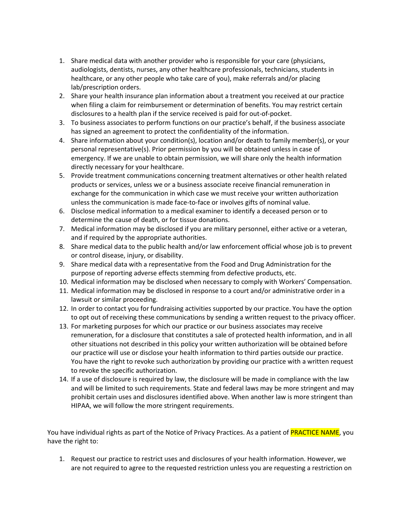- 1. Share medical data with another provider who is responsible for your care (physicians, audiologists, dentists, nurses, any other healthcare professionals, technicians, students in healthcare, or any other people who take care of you), make referrals and/or placing lab/prescription orders.
- 2. Share your health insurance plan information about a treatment you received at our practice when filing a claim for reimbursement or determination of benefits. You may restrict certain disclosures to a health plan if the service received is paid for out-of-pocket.
- 3. To business associates to perform functions on our practice's behalf, if the business associate has signed an agreement to protect the confidentiality of the information.
- 4. Share information about your condition(s), location and/or death to family member(s), or your personal representative(s). Prior permission by you will be obtained unless in case of emergency. If we are unable to obtain permission, we will share only the health information directly necessary for your healthcare.
- 5. Provide treatment communications concerning treatment alternatives or other health related products or services, unless we or a business associate receive financial remuneration in exchange for the communication in which case we must receive your written authorization unless the communication is made face-to-face or involves gifts of nominal value.
- 6. Disclose medical information to a medical examiner to identify a deceased person or to determine the cause of death, or for tissue donations.
- 7. Medical information may be disclosed if you are military personnel, either active or a veteran, and if required by the appropriate authorities.
- 8. Share medical data to the public health and/or law enforcement official whose job is to prevent or control disease, injury, or disability.
- 9. Share medical data with a representative from the Food and Drug Administration for the purpose of reporting adverse effects stemming from defective products, etc.
- 10. Medical information may be disclosed when necessary to comply with Workers' Compensation.
- 11. Medical information may be disclosed in response to a court and/or administrative order in a lawsuit or similar proceeding.
- 12. In order to contact you for fundraising activities supported by our practice. You have the option to opt out of receiving these communications by sending a written request to the privacy officer.
- 13. For marketing purposes for which our practice or our business associates may receive remuneration, for a disclosure that constitutes a sale of protected health information, and in all other situations not described in this policy your written authorization will be obtained before our practice will use or disclose your health information to third parties outside our practice. You have the right to revoke such authorization by providing our practice with a written request to revoke the specific authorization.
- 14. If a use of disclosure is required by law, the disclosure will be made in compliance with the law and will be limited to such requirements. State and federal laws may be more stringent and may prohibit certain uses and disclosures identified above. When another law is more stringent than HIPAA, we will follow the more stringent requirements.

You have individual rights as part of the Notice of Privacy Practices. As a patient of **PRACTICE NAME**, you have the right to:

1. Request our practice to restrict uses and disclosures of your health information. However, we are not required to agree to the requested restriction unless you are requesting a restriction on